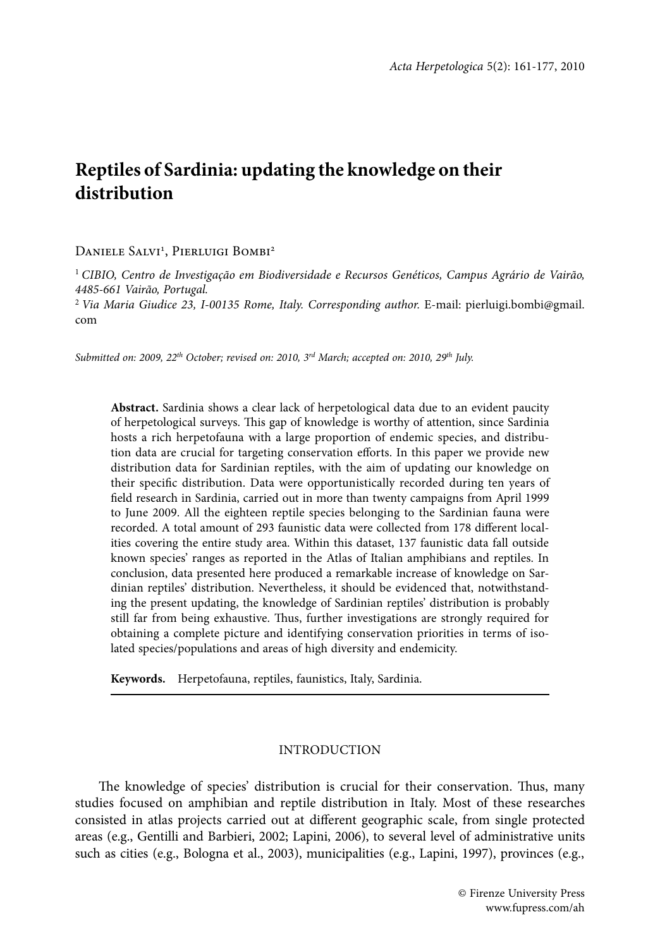# **Reptiles of Sardinia: updating the knowledge on their distribution**

## DANIELE SALVI<sup>1</sup>, PIERLUIGI BOMBI<sup>2</sup>

<sup>1</sup> *CIBIO, Centro de Investigação em Biodiversidade e Recursos Genéticos, Campus Agrário de Vairão, 4485-661 Vairão, Portugal.*

<sup>2</sup> Via Maria Giudice 23, I-00135 Rome, Italy. Corresponding author. E-mail: pierluigi.bombi@gmail. com

*Submitted on: 2009, 22th October; revised on: 2010, 3rd March; accepted on: 2010, 29th July.*

**Abstract.** Sardinia shows a clear lack of herpetological data due to an evident paucity of herpetological surveys. This gap of knowledge is worthy of attention, since Sardinia hosts a rich herpetofauna with a large proportion of endemic species, and distribution data are crucial for targeting conservation efforts. In this paper we provide new distribution data for Sardinian reptiles, with the aim of updating our knowledge on their specific distribution. Data were opportunistically recorded during ten years of field research in Sardinia, carried out in more than twenty campaigns from April 1999 to June 2009. All the eighteen reptile species belonging to the Sardinian fauna were recorded. A total amount of 293 faunistic data were collected from 178 different localities covering the entire study area. Within this dataset, 137 faunistic data fall outside known species' ranges as reported in the Atlas of Italian amphibians and reptiles. In conclusion, data presented here produced a remarkable increase of knowledge on Sardinian reptiles' distribution. Nevertheless, it should be evidenced that, notwithstanding the present updating, the knowledge of Sardinian reptiles' distribution is probably still far from being exhaustive. Thus, further investigations are strongly required for obtaining a complete picture and identifying conservation priorities in terms of isolated species/populations and areas of high diversity and endemicity.

**Keywords.** Herpetofauna, reptiles, faunistics, Italy, Sardinia.

### INTRODUCTION

The knowledge of species' distribution is crucial for their conservation. Thus, many studies focused on amphibian and reptile distribution in Italy. Most of these researches consisted in atlas projects carried out at different geographic scale, from single protected areas (e.g., Gentilli and Barbieri, 2002; Lapini, 2006), to several level of administrative units such as cities (e.g., Bologna et al., 2003), municipalities (e.g., Lapini, 1997), provinces (e.g.,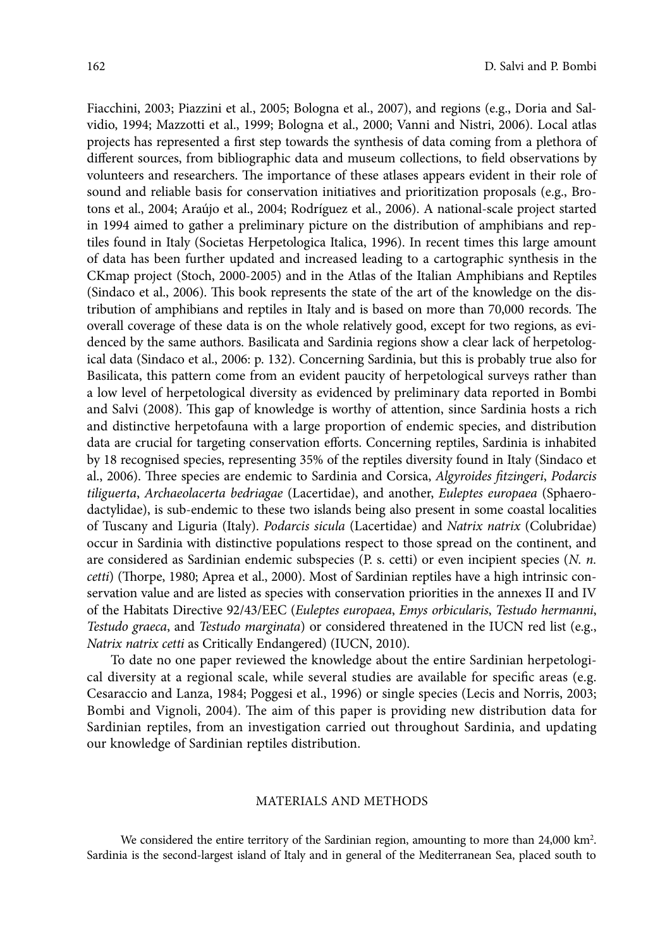Fiacchini, 2003; Piazzini et al., 2005; Bologna et al., 2007), and regions (e.g., Doria and Salvidio, 1994; Mazzotti et al., 1999; Bologna et al., 2000; Vanni and Nistri, 2006). Local atlas projects has represented a first step towards the synthesis of data coming from a plethora of different sources, from bibliographic data and museum collections, to field observations by volunteers and researchers. The importance of these atlases appears evident in their role of sound and reliable basis for conservation initiatives and prioritization proposals (e.g., Brotons et al., 2004; Araújo et al., 2004; Rodríguez et al., 2006). A national-scale project started in 1994 aimed to gather a preliminary picture on the distribution of amphibians and reptiles found in Italy (Societas Herpetologica Italica, 1996). In recent times this large amount of data has been further updated and increased leading to a cartographic synthesis in the CKmap project (Stoch, 2000-2005) and in the Atlas of the Italian Amphibians and Reptiles (Sindaco et al., 2006). This book represents the state of the art of the knowledge on the distribution of amphibians and reptiles in Italy and is based on more than 70,000 records. The overall coverage of these data is on the whole relatively good, except for two regions, as evidenced by the same authors. Basilicata and Sardinia regions show a clear lack of herpetological data (Sindaco et al., 2006: p. 132). Concerning Sardinia, but this is probably true also for Basilicata, this pattern come from an evident paucity of herpetological surveys rather than a low level of herpetological diversity as evidenced by preliminary data reported in Bombi and Salvi (2008). This gap of knowledge is worthy of attention, since Sardinia hosts a rich and distinctive herpetofauna with a large proportion of endemic species, and distribution data are crucial for targeting conservation efforts. Concerning reptiles, Sardinia is inhabited by 18 recognised species, representing 35% of the reptiles diversity found in Italy (Sindaco et al., 2006). Three species are endemic to Sardinia and Corsica, *Algyroides fitzingeri*, *Podarcis tiliguerta*, *Archaeolacerta bedriagae* (Lacertidae), and another, *Euleptes europaea* (Sphaerodactylidae), is sub-endemic to these two islands being also present in some coastal localities of Tuscany and Liguria (Italy). *Podarcis sicula* (Lacertidae) and *Natrix natrix* (Colubridae) occur in Sardinia with distinctive populations respect to those spread on the continent, and are considered as Sardinian endemic subspecies (P. s. cetti) or even incipient species (*N. n. cetti*) (Thorpe, 1980; Aprea et al., 2000). Most of Sardinian reptiles have a high intrinsic conservation value and are listed as species with conservation priorities in the annexes II and IV of the Habitats Directive 92/43/EEC (*Euleptes europaea*, *Emys orbicularis*, *Testudo hermanni*, *Testudo graeca*, and *Testudo marginata*) or considered threatened in the IUCN red list (e.g., *Natrix natrix cetti* as Critically Endangered) (IUCN, 2010).

To date no one paper reviewed the knowledge about the entire Sardinian herpetological diversity at a regional scale, while several studies are available for specific areas (e.g. Cesaraccio and Lanza, 1984; Poggesi et al., 1996) or single species (Lecis and Norris, 2003; Bombi and Vignoli, 2004). The aim of this paper is providing new distribution data for Sardinian reptiles, from an investigation carried out throughout Sardinia, and updating our knowledge of Sardinian reptiles distribution.

#### MATERIALS AND METHODS

We considered the entire territory of the Sardinian region, amounting to more than 24,000 km<sup>2</sup>. Sardinia is the second-largest island of Italy and in general of the Mediterranean Sea, placed south to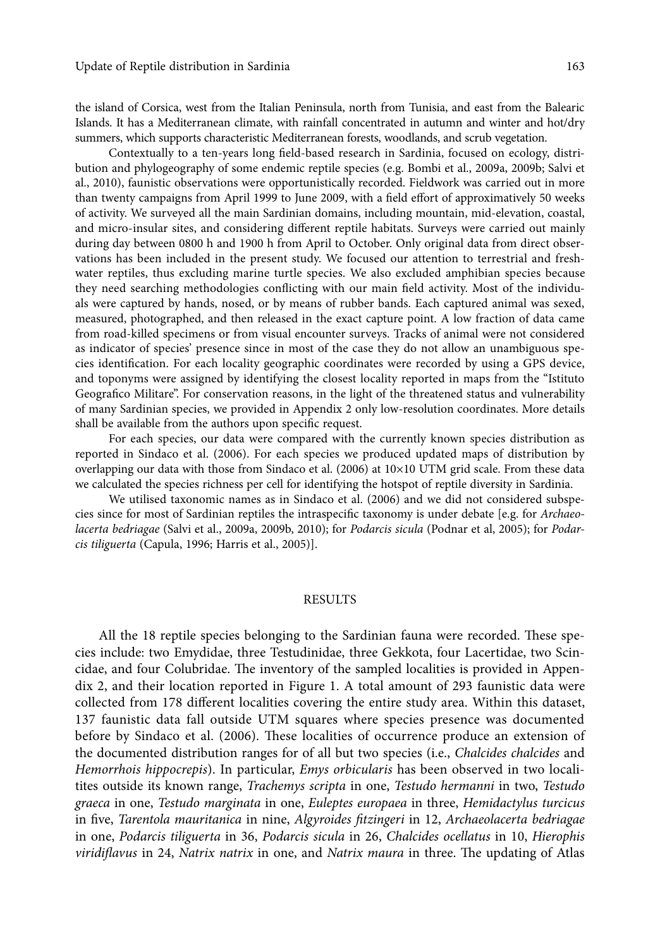the island of Corsica, west from the Italian Peninsula, north from Tunisia, and east from the Balearic Islands. It has a Mediterranean climate, with rainfall concentrated in autumn and winter and hot/dry summers, which supports characteristic Mediterranean forests, woodlands, and scrub vegetation.

Contextually to a ten-years long field-based research in Sardinia, focused on ecology, distribution and phylogeography of some endemic reptile species (e.g. Bombi et al., 2009a, 2009b; Salvi et al., 2010), faunistic observations were opportunistically recorded. Fieldwork was carried out in more than twenty campaigns from April 1999 to June 2009, with a field effort of approximatively 50 weeks of activity. We surveyed all the main Sardinian domains, including mountain, mid-elevation, coastal, and micro-insular sites, and considering different reptile habitats. Surveys were carried out mainly during day between 0800 h and 1900 h from April to October. Only original data from direct observations has been included in the present study. We focused our attention to terrestrial and freshwater reptiles, thus excluding marine turtle species. We also excluded amphibian species because they need searching methodologies conflicting with our main field activity. Most of the individuals were captured by hands, nosed, or by means of rubber bands. Each captured animal was sexed, measured, photographed, and then released in the exact capture point. A low fraction of data came from road-killed specimens or from visual encounter surveys. Tracks of animal were not considered as indicator of species' presence since in most of the case they do not allow an unambiguous species identification. For each locality geographic coordinates were recorded by using a GPS device, and toponyms were assigned by identifying the closest locality reported in maps from the "Istituto Geografico Militare". For conservation reasons, in the light of the threatened status and vulnerability of many Sardinian species, we provided in Appendix 2 only low-resolution coordinates. More details shall be available from the authors upon specific request.

For each species, our data were compared with the currently known species distribution as reported in Sindaco et al. (2006). For each species we produced updated maps of distribution by overlapping our data with those from Sindaco et al. (2006) at 10×10 UTM grid scale. From these data we calculated the species richness per cell for identifying the hotspot of reptile diversity in Sardinia.

We utilised taxonomic names as in Sindaco et al. (2006) and we did not considered subspecies since for most of Sardinian reptiles the intraspecific taxonomy is under debate [e.g. for *Archaeolacerta bedriagae* (Salvi et al., 2009a, 2009b, 2010); for *Podarcis sicula* (Podnar et al, 2005); for *Podarcis tiliguerta* (Capula, 1996; Harris et al., 2005)].

### RESULTS

All the 18 reptile species belonging to the Sardinian fauna were recorded. These species include: two Emydidae, three Testudinidae, three Gekkota, four Lacertidae, two Scincidae, and four Colubridae. The inventory of the sampled localities is provided in Appendix 2, and their location reported in Figure 1. A total amount of 293 faunistic data were collected from 178 different localities covering the entire study area. Within this dataset, 137 faunistic data fall outside UTM squares where species presence was documented before by Sindaco et al. (2006). These localities of occurrence produce an extension of the documented distribution ranges for of all but two species (i.e., *Chalcides chalcides* and *Hemorrhois hippocrepis*). In particular, *Emys orbicularis* has been observed in two localitites outside its known range, *Trachemys scripta* in one, *Testudo hermanni* in two, *Testudo graeca* in one, *Testudo marginata* in one, *Euleptes europaea* in three, *Hemidactylus turcicus* in five, *Tarentola mauritanica* in nine, *Algyroides fitzingeri* in 12, *Archaeolacerta bedriagae* in one, *Podarcis tiliguerta* in 36, *Podarcis sicula* in 26, *Chalcides ocellatus* in 10, *Hierophis viridiflavus* in 24, *Natrix natrix* in one, and *Natrix maura* in three. The updating of Atlas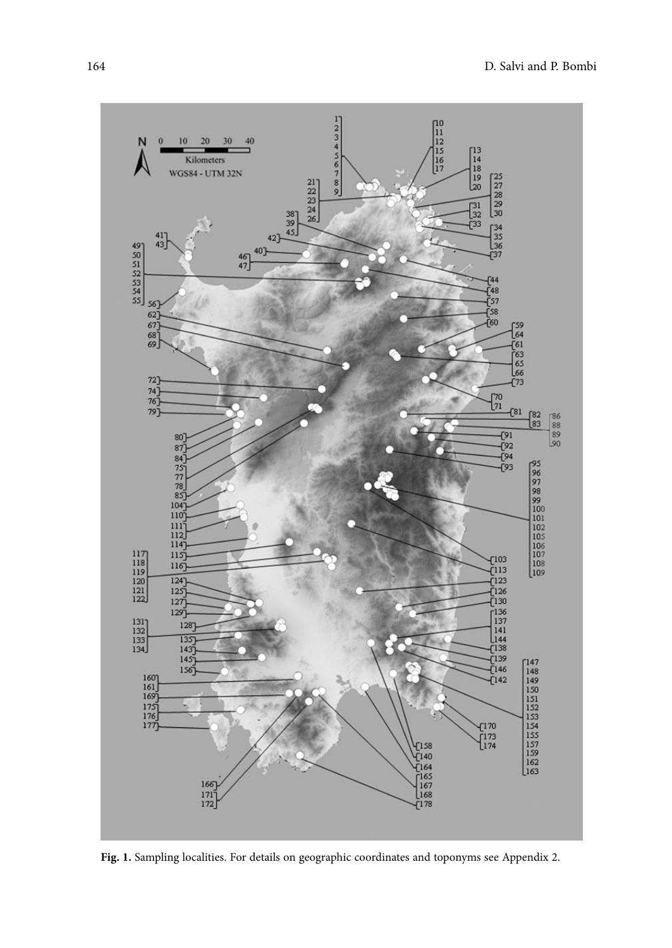

**Fig. 1.** Sampling localities. For details on geographic coordinates and toponyms see Appendix 2.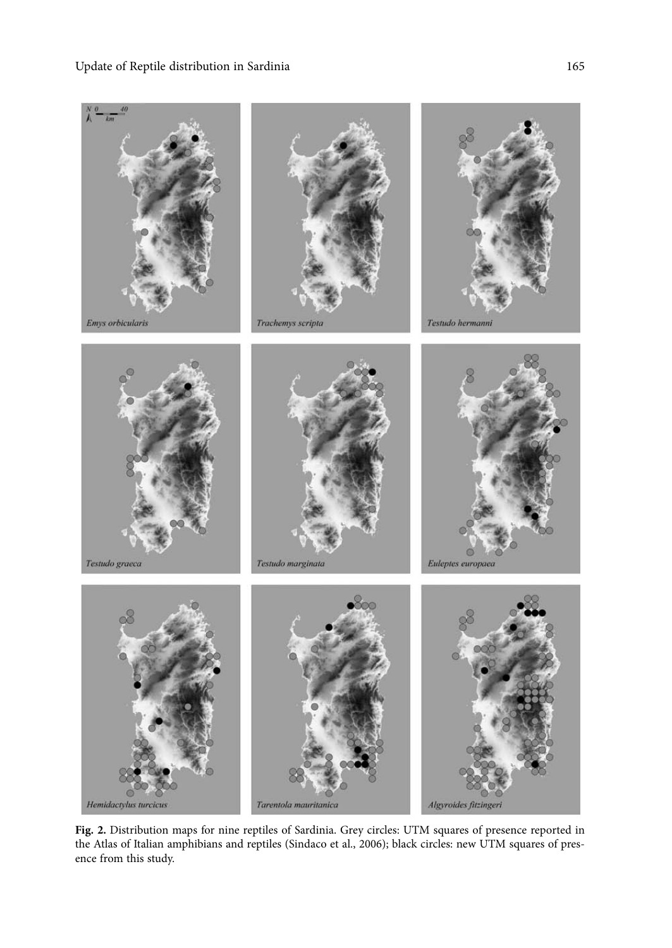

**Fig. 2.** Distribution maps for nine reptiles of Sardinia. Grey circles: UTM squares of presence reported in the Atlas of Italian amphibians and reptiles (Sindaco et al., 2006); black circles: new UTM squares of presence from this study.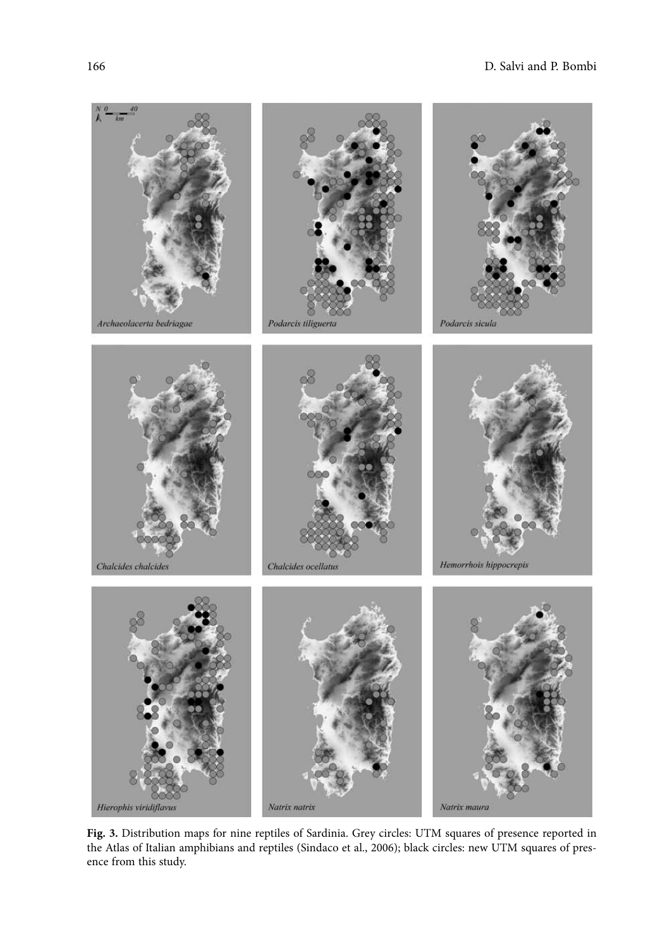

**Fig. 3.** Distribution maps for nine reptiles of Sardinia. Grey circles: UTM squares of presence reported in the Atlas of Italian amphibians and reptiles (Sindaco et al., 2006); black circles: new UTM squares of presence from this study.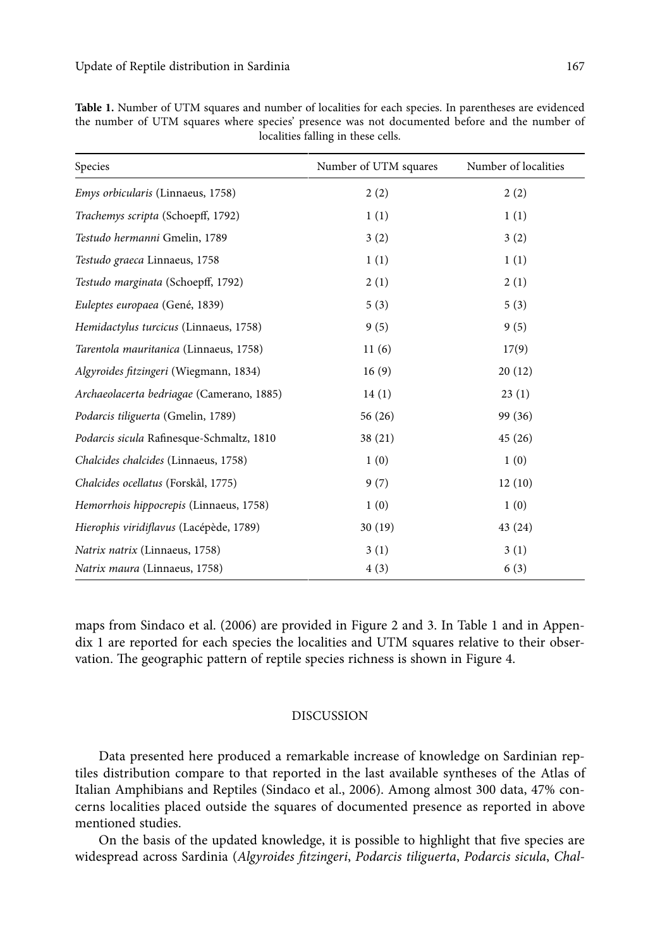| Species                                   | Number of UTM squares | Number of localities |
|-------------------------------------------|-----------------------|----------------------|
| <i>Emys orbicularis</i> (Linnaeus, 1758)  | 2(2)                  | 2(2)                 |
| Trachemys scripta (Schoepff, 1792)        | 1(1)                  | 1(1)                 |
| Testudo hermanni Gmelin, 1789             | 3(2)                  | 3(2)                 |
| Testudo graeca Linnaeus, 1758             | 1(1)                  | 1(1)                 |
| Testudo marginata (Schoepff, 1792)        | 2(1)                  | 2(1)                 |
| Euleptes europaea (Gené, 1839)            | 5(3)                  | 5(3)                 |
| Hemidactylus turcicus (Linnaeus, 1758)    | 9(5)                  | 9(5)                 |
| Tarentola mauritanica (Linnaeus, 1758)    | 11(6)                 | 17(9)                |
| Algyroides fitzingeri (Wiegmann, 1834)    | 16(9)                 | 20(12)               |
| Archaeolacerta bedriagae (Camerano, 1885) | 14(1)                 | 23(1)                |
| Podarcis tiliguerta (Gmelin, 1789)        | 56(26)                | 99 (36)              |
| Podarcis sicula Rafinesque-Schmaltz, 1810 | 38(21)                | 45(26)               |
| Chalcides chalcides (Linnaeus, 1758)      | 1(0)                  | 1(0)                 |
| Chalcides ocellatus (Forskål, 1775)       | 9(7)                  | 12(10)               |
| Hemorrhois hippocrepis (Linnaeus, 1758)   | 1(0)                  | 1(0)                 |
| Hierophis viridiflavus (Lacépède, 1789)   | 30(19)                | 43 (24)              |
| Natrix natrix (Linnaeus, 1758)            | 3(1)                  | 3(1)                 |
| Natrix maura (Linnaeus, 1758)             | 4(3)                  | 6(3)                 |

| <b>Table 1.</b> Number of UTM squares and number of localities for each species. In parentheses are evidenced |  |  |  |  |
|---------------------------------------------------------------------------------------------------------------|--|--|--|--|
| the number of UTM squares where species' presence was not documented before and the number of                 |  |  |  |  |
| localities falling in these cells.                                                                            |  |  |  |  |

maps from Sindaco et al. (2006) are provided in Figure 2 and 3. In Table 1 and in Appendix 1 are reported for each species the localities and UTM squares relative to their observation. The geographic pattern of reptile species richness is shown in Figure 4.

## DISCUSSION

Data presented here produced a remarkable increase of knowledge on Sardinian reptiles distribution compare to that reported in the last available syntheses of the Atlas of Italian Amphibians and Reptiles (Sindaco et al., 2006). Among almost 300 data, 47% concerns localities placed outside the squares of documented presence as reported in above mentioned studies.

On the basis of the updated knowledge, it is possible to highlight that five species are widespread across Sardinia (*Algyroides fitzingeri*, *Podarcis tiliguerta*, *Podarcis sicula*, *Chal-*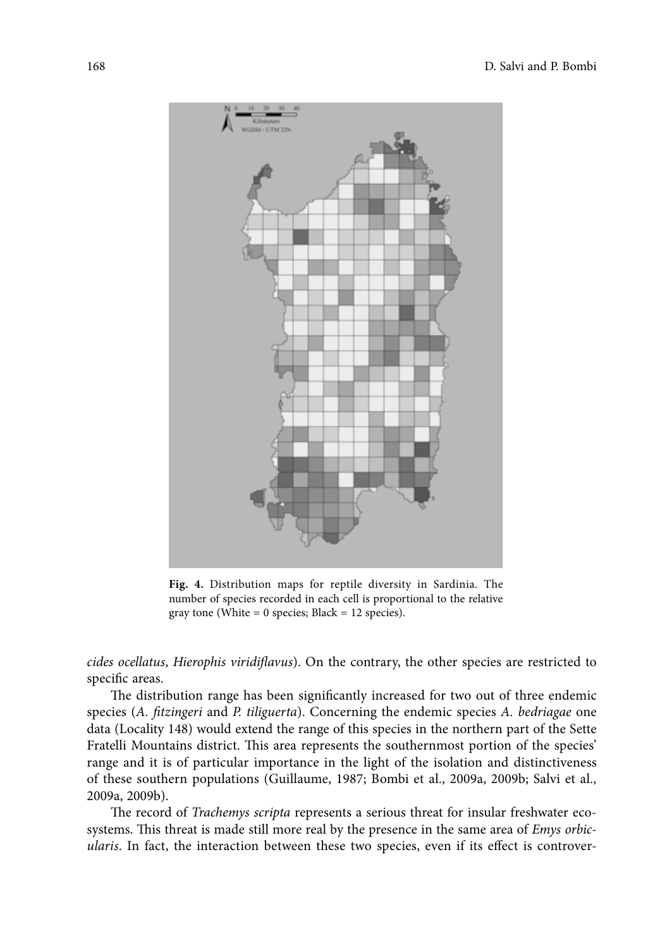

**Fig. 4.** Distribution maps for reptile diversity in Sardinia. The number of species recorded in each cell is proportional to the relative gray tone (White =  $0$  species; Black =  $12$  species).

*cides ocellatus, Hierophis viridiflavus*). On the contrary, the other species are restricted to specific areas.

The distribution range has been significantly increased for two out of three endemic species (*A. fi tzingeri* and *P. tiliguerta*). Concerning the endemic species *A. bedriagae* one data (Locality 148) would extend the range of this species in the northern part of the Sette Fratelli Mountains district. This area represents the southernmost portion of the species' range and it is of particular importance in the light of the isolation and distinctiveness of these southern populations (Guillaume, 1987; Bombi et al., 2009a, 2009b; Salvi et al., 2009a, 2009b).

The record of *Trachemys scripta* represents a serious threat for insular freshwater ecosystems. This threat is made still more real by the presence in the same area of *Emys orbicularis*. In fact, the interaction between these two species, even if its effect is controver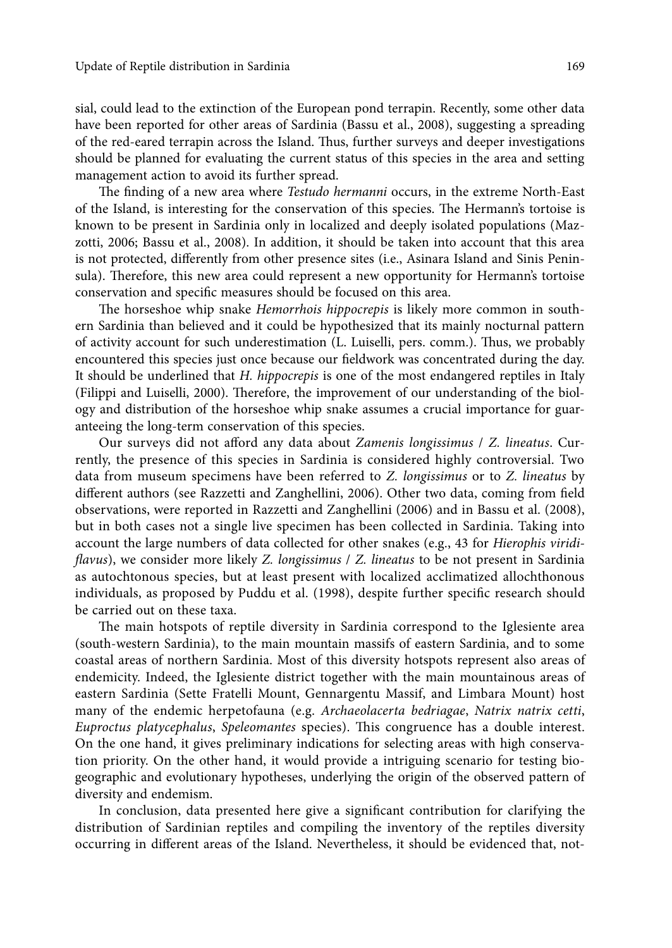sial, could lead to the extinction of the European pond terrapin. Recently, some other data have been reported for other areas of Sardinia (Bassu et al., 2008), suggesting a spreading of the red-eared terrapin across the Island. Thus, further surveys and deeper investigations should be planned for evaluating the current status of this species in the area and setting management action to avoid its further spread.

The finding of a new area where *Testudo hermanni* occurs, in the extreme North-East of the Island, is interesting for the conservation of this species. The Hermann's tortoise is known to be present in Sardinia only in localized and deeply isolated populations (Mazzotti, 2006; Bassu et al., 2008). In addition, it should be taken into account that this area is not protected, differently from other presence sites (i.e., Asinara Island and Sinis Peninsula). Therefore, this new area could represent a new opportunity for Hermann's tortoise conservation and specific measures should be focused on this area.

The horseshoe whip snake *Hemorrhois hippocrepis* is likely more common in southern Sardinia than believed and it could be hypothesized that its mainly nocturnal pattern of activity account for such underestimation (L. Luiselli, pers. comm.). Thus, we probably encountered this species just once because our fieldwork was concentrated during the day. It should be underlined that *H. hippocrepis* is one of the most endangered reptiles in Italy (Filippi and Luiselli, 2000). Therefore, the improvement of our understanding of the biology and distribution of the horseshoe whip snake assumes a crucial importance for guaranteeing the long-term conservation of this species.

Our surveys did not afford any data about *Zamenis longissimus* / *Z. lineatus*. Currently, the presence of this species in Sardinia is considered highly controversial. Two data from museum specimens have been referred to *Z. longissimus* or to *Z. lineatus* by different authors (see Razzetti and Zanghellini, 2006). Other two data, coming from field observations, were reported in Razzetti and Zanghellini (2006) and in Bassu et al. (2008), but in both cases not a single live specimen has been collected in Sardinia. Taking into account the large numbers of data collected for other snakes (e.g., 43 for *Hierophis viridiflavus*), we consider more likely *Z. longissimus* / *Z. lineatus* to be not present in Sardinia as autochtonous species, but at least present with localized acclimatized allochthonous individuals, as proposed by Puddu et al. (1998), despite further specific research should be carried out on these taxa.

The main hotspots of reptile diversity in Sardinia correspond to the Iglesiente area (south-western Sardinia), to the main mountain massifs of eastern Sardinia, and to some coastal areas of northern Sardinia. Most of this diversity hotspots represent also areas of endemicity. Indeed, the Iglesiente district together with the main mountainous areas of eastern Sardinia (Sette Fratelli Mount, Gennargentu Massif, and Limbara Mount) host many of the endemic herpetofauna (e.g. *Archaeolacerta bedriagae*, *Natrix natrix cetti*, *Euproctus platycephalus*, *Speleomantes* species). This congruence has a double interest. On the one hand, it gives preliminary indications for selecting areas with high conservation priority. On the other hand, it would provide a intriguing scenario for testing biogeographic and evolutionary hypotheses, underlying the origin of the observed pattern of diversity and endemism.

In conclusion, data presented here give a significant contribution for clarifying the distribution of Sardinian reptiles and compiling the inventory of the reptiles diversity occurring in different areas of the Island. Nevertheless, it should be evidenced that, not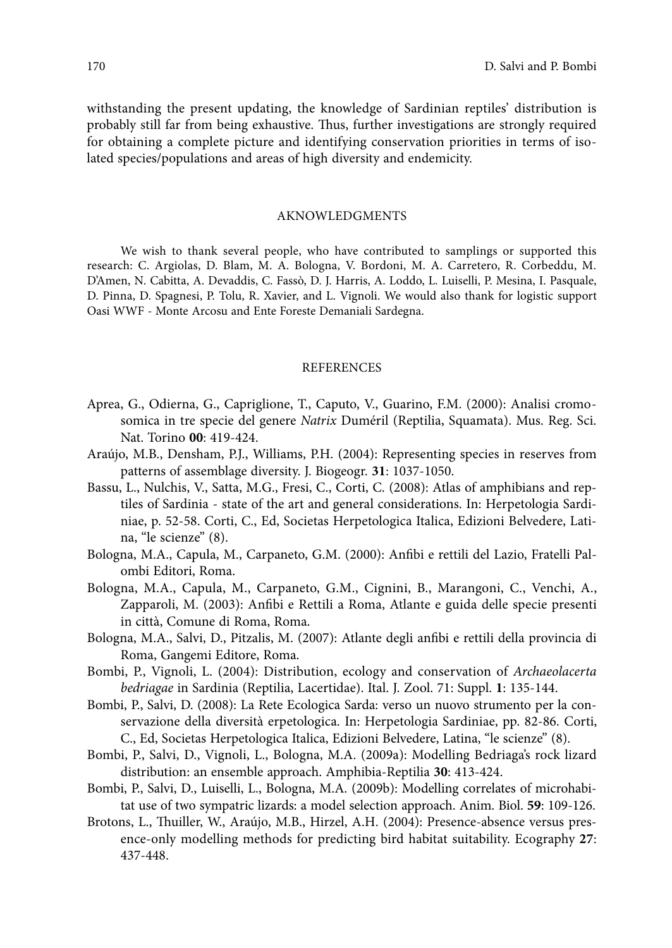withstanding the present updating, the knowledge of Sardinian reptiles' distribution is probably still far from being exhaustive. Thus, further investigations are strongly required for obtaining a complete picture and identifying conservation priorities in terms of isolated species/populations and areas of high diversity and endemicity.

#### AKNOWLEDGMENTS

We wish to thank several people, who have contributed to samplings or supported this research: C. Argiolas, D. Blam, M. A. Bologna, V. Bordoni, M. A. Carretero, R. Corbeddu, M. D'Amen, N. Cabitta, A. Devaddis, C. Fassò, D. J. Harris, A. Loddo, L. Luiselli, P. Mesina, I. Pasquale, D. Pinna, D. Spagnesi, P. Tolu, R. Xavier, and L. Vignoli. We would also thank for logistic support Oasi WWF - Monte Arcosu and Ente Foreste Demaniali Sardegna.

#### **REFERENCES**

- Aprea, G., Odierna, G., Capriglione, T., Caputo, V., Guarino, F.M. (2000): Analisi cromosomica in tre specie del genere *Natrix* Duméril (Reptilia, Squamata). Mus. Reg. Sci. Nat. Torino **00**: 419-424.
- Araújo, M.B., Densham, P.J., Williams, P.H. (2004): Representing species in reserves from patterns of assemblage diversity. J. Biogeogr. **31**: 1037-1050.
- Bassu, L., Nulchis, V., Satta, M.G., Fresi, C., Corti, C. (2008): Atlas of amphibians and reptiles of Sardinia - state of the art and general considerations. In: Herpetologia Sardiniae, p. 52-58. Corti, C., Ed, Societas Herpetologica Italica, Edizioni Belvedere, Latina, "le scienze" (8).
- Bologna, M.A., Capula, M., Carpaneto, G.M. (2000): Anfibi e rettili del Lazio, Fratelli Palombi Editori, Roma.
- Bologna, M.A., Capula, M., Carpaneto, G.M., Cignini, B., Marangoni, C., Venchi, A., Zapparoli, M. (2003): Anfibi e Rettili a Roma, Atlante e guida delle specie presenti in città, Comune di Roma, Roma.
- Bologna, M.A., Salvi, D., Pitzalis, M. (2007): Atlante degli anfibi e rettili della provincia di Roma, Gangemi Editore, Roma.
- Bombi, P., Vignoli, L. (2004): Distribution, ecology and conservation of *Archaeolacerta bedriagae* in Sardinia (Reptilia, Lacertidae). Ital. J. Zool. 71: Suppl. **1**: 135-144.
- Bombi, P., Salvi, D. (2008): La Rete Ecologica Sarda: verso un nuovo strumento per la conservazione della diversità erpetologica. In: Herpetologia Sardiniae, pp. 82-86. Corti, C., Ed, Societas Herpetologica Italica, Edizioni Belvedere, Latina, "le scienze" (8).
- Bombi, P., Salvi, D., Vignoli, L., Bologna, M.A. (2009a): Modelling Bedriaga's rock lizard distribution: an ensemble approach. Amphibia-Reptilia **30**: 413-424.
- Bombi, P., Salvi, D., Luiselli, L., Bologna, M.A. (2009b): Modelling correlates of microhabitat use of two sympatric lizards: a model selection approach. Anim. Biol. **59**: 109-126.
- Brotons, L., Thuiller, W., Araújo, M.B., Hirzel, A.H. (2004): Presence-absence versus presence-only modelling methods for predicting bird habitat suitability. Ecography **27**: 437-448.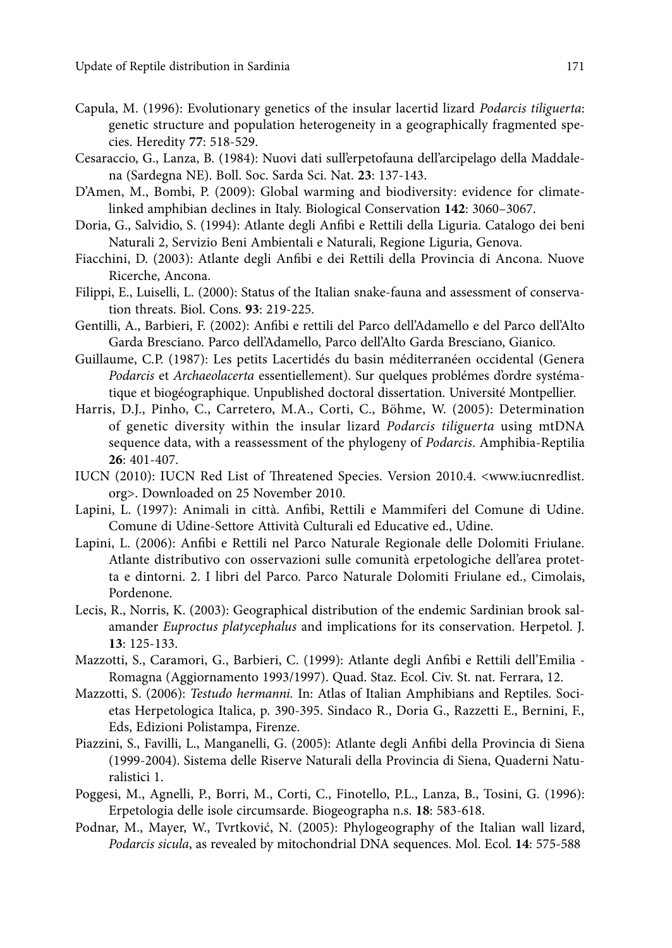- Capula, M. (1996): Evolutionary genetics of the insular lacertid lizard *Podarcis tiliguerta*: genetic structure and population heterogeneity in a geographically fragmented species. Heredity **77**: 518-529.
- Cesaraccio, G., Lanza, B. (1984): Nuovi dati sull'erpetofauna dell'arcipelago della Maddalena (Sardegna NE). Boll. Soc. Sarda Sci. Nat. **23**: 137-143.
- D'Amen, M., Bombi, P. (2009): Global warming and biodiversity: evidence for climatelinked amphibian declines in Italy. Biological Conservation **142**: 3060–3067.
- Doria, G., Salvidio, S. (1994): Atlante degli Anfibi e Rettili della Liguria. Catalogo dei beni Naturali 2, Servizio Beni Ambientali e Naturali, Regione Liguria, Genova.
- Fiacchini, D. (2003): Atlante degli Anfibi e dei Rettili della Provincia di Ancona. Nuove Ricerche, Ancona.
- Filippi, E., Luiselli, L. (2000): Status of the Italian snake-fauna and assessment of conservation threats. Biol. Cons. **93**: 219-225.
- Gentilli, A., Barbieri, F. (2002): Anfibi e rettili del Parco dell'Adamello e del Parco dell'Alto Garda Bresciano. Parco dell'Adamello, Parco dell'Alto Garda Bresciano, Gianico.
- Guillaume, C.P. (1987): Les petits Lacertidés du basin méditerranéen occidental (Genera *Podarcis* et *Archaeolacerta* essentiellement). Sur quelques problémes d'ordre systématique et biogéographique. Unpublished doctoral dissertation. Université Montpellier.
- Harris, D.J., Pinho, C., Carretero, M.A., Corti, C., Böhme, W. (2005): Determination of genetic diversity within the insular lizard *Podarcis tiliguerta* using mtDNA sequence data, with a reassessment of the phylogeny of *Podarcis*. Amphibia-Reptilia **26**: 401-407.
- IUCN (2010): IUCN Red List of Threatened Species. Version 2010.4. <www.iucnredlist. org>. Downloaded on 25 November 2010.
- Lapini, L. (1997): Animali in città. Anfibi, Rettili e Mammiferi del Comune di Udine. Comune di Udine-Settore Attività Culturali ed Educative ed., Udine.
- Lapini, L. (2006): Anfibi e Rettili nel Parco Naturale Regionale delle Dolomiti Friulane. Atlante distributivo con osservazioni sulle comunità erpetologiche dell'area protetta e dintorni. 2. I libri del Parco. Parco Naturale Dolomiti Friulane ed., Cimolais, Pordenone.
- Lecis, R., Norris, K. (2003): Geographical distribution of the endemic Sardinian brook salamander *Euproctus platycephalus* and implications for its conservation. Herpetol. J. **13**: 125-133.
- Mazzotti, S., Caramori, G., Barbieri, C. (1999): Atlante degli Anfibi e Rettili dell'Emilia Romagna (Aggiornamento 1993/1997). Quad. Staz. Ecol. Civ. St. nat. Ferrara, 12.
- Mazzotti, S. (2006): *Testudo hermanni.* In: Atlas of Italian Amphibians and Reptiles. Societas Herpetologica Italica, p. 390-395. Sindaco R., Doria G., Razzetti E., Bernini, F., Eds, Edizioni Polistampa, Firenze.
- Piazzini, S., Favilli, L., Manganelli, G. (2005): Atlante degli Anfibi della Provincia di Siena (1999-2004). Sistema delle Riserve Naturali della Provincia di Siena, Quaderni Naturalistici 1.
- Poggesi, M., Agnelli, P., Borri, M., Corti, C., Finotello, P.L., Lanza, B., Tosini, G. (1996): Erpetologia delle isole circumsarde. Biogeographa n.s. **18**: 583-618.
- Podnar, M., Mayer, W., Tvrtković, N. (2005): Phylogeography of the Italian wall lizard, *Podarcis sicula*, as revealed by mitochondrial DNA sequences. Mol. Ecol. **14**: 575-588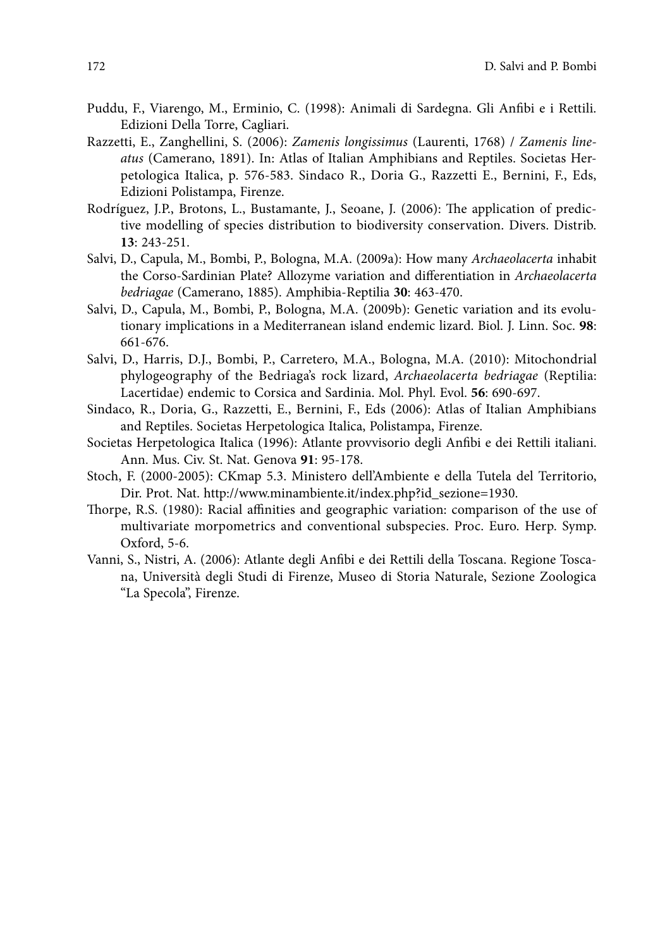- Puddu, F., Viarengo, M., Erminio, C. (1998): Animali di Sardegna. Gli Anfibi e i Rettili. Edizioni Della Torre, Cagliari.
- Razzetti, E., Zanghellini, S. (2006): *Zamenis longissimus* (Laurenti, 1768) / *Zamenis lineatus* (Camerano, 1891). In: Atlas of Italian Amphibians and Reptiles. Societas Herpetologica Italica, p. 576-583. Sindaco R., Doria G., Razzetti E., Bernini, F., Eds, Edizioni Polistampa, Firenze.
- Rodríguez, J.P., Brotons, L., Bustamante, J., Seoane, J. (2006): The application of predictive modelling of species distribution to biodiversity conservation. Divers. Distrib. **13**: 243-251.
- Salvi, D., Capula, M., Bombi, P., Bologna, M.A. (2009a): How many *Archaeolacerta* inhabit the Corso-Sardinian Plate? Allozyme variation and differentiation in *Archaeolacerta bedriagae* (Camerano, 1885). Amphibia-Reptilia **30**: 463-470.
- Salvi, D., Capula, M., Bombi, P., Bologna, M.A. (2009b): Genetic variation and its evolutionary implications in a Mediterranean island endemic lizard. Biol. J. Linn. Soc. **98**: 661-676.
- Salvi, D., Harris, D.J., Bombi, P., Carretero, M.A., Bologna, M.A. (2010): Mitochondrial phylogeography of the Bedriaga's rock lizard, *Archaeolacerta bedriagae* (Reptilia: Lacertidae) endemic to Corsica and Sardinia. Mol. Phyl. Evol. **56**: 690-697.
- Sindaco, R., Doria, G., Razzetti, E., Bernini, F., Eds (2006): Atlas of Italian Amphibians and Reptiles. Societas Herpetologica Italica, Polistampa, Firenze.
- Societas Herpetologica Italica (1996): Atlante provvisorio degli Anfibi e dei Rettili italiani. Ann. Mus. Civ. St. Nat. Genova **91**: 95-178.
- Stoch, F. (2000-2005): CKmap 5.3. Ministero dell'Ambiente e della Tutela del Territorio, Dir. Prot. Nat. http://www.minambiente.it/index.php?id\_sezione=1930.
- Thorpe, R.S. (1980): Racial affinities and geographic variation: comparison of the use of multivariate morpometrics and conventional subspecies. Proc. Euro. Herp. Symp. Oxford, 5-6.
- Vanni, S., Nistri, A. (2006): Atlante degli Anfibi e dei Rettili della Toscana. Regione Toscana, Università degli Studi di Firenze, Museo di Storia Naturale, Sezione Zoologica "La Specola", Firenze.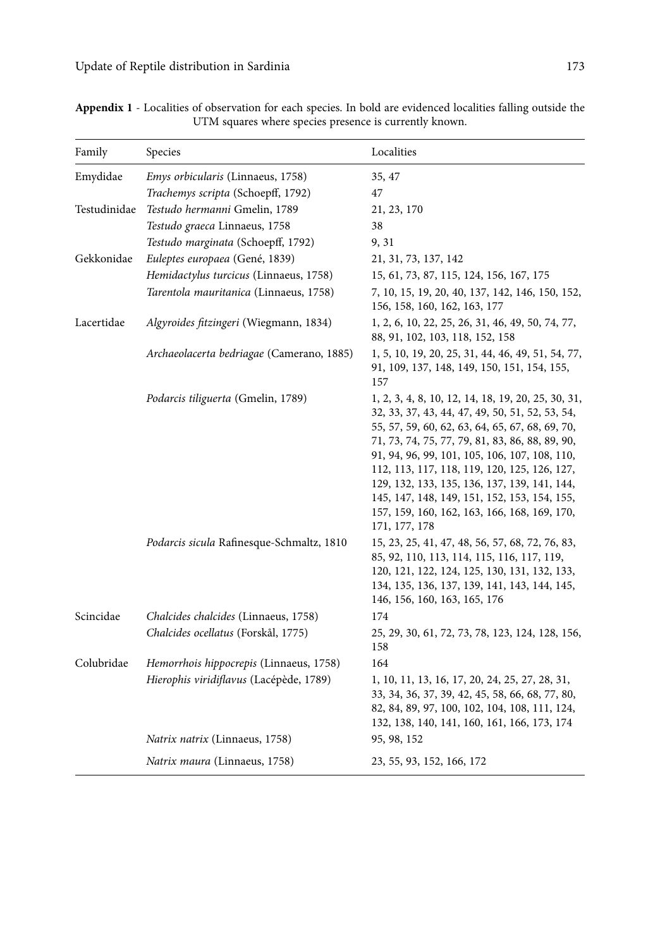| Family       | Species                                   | Localities                                                                                                                                                                                                                                                                                                                                                                                                                                                                    |
|--------------|-------------------------------------------|-------------------------------------------------------------------------------------------------------------------------------------------------------------------------------------------------------------------------------------------------------------------------------------------------------------------------------------------------------------------------------------------------------------------------------------------------------------------------------|
| Emydidae     | <i>Emys orbicularis</i> (Linnaeus, 1758)  | 35, 47                                                                                                                                                                                                                                                                                                                                                                                                                                                                        |
|              | Trachemys scripta (Schoepff, 1792)        | 47                                                                                                                                                                                                                                                                                                                                                                                                                                                                            |
| Testudinidae | Testudo hermanni Gmelin, 1789             | 21, 23, 170                                                                                                                                                                                                                                                                                                                                                                                                                                                                   |
|              | Testudo graeca Linnaeus, 1758             | 38                                                                                                                                                                                                                                                                                                                                                                                                                                                                            |
|              | Testudo marginata (Schoepff, 1792)        | 9, 31                                                                                                                                                                                                                                                                                                                                                                                                                                                                         |
| Gekkonidae   | Euleptes europaea (Gené, 1839)            | 21, 31, 73, 137, 142                                                                                                                                                                                                                                                                                                                                                                                                                                                          |
|              | Hemidactylus turcicus (Linnaeus, 1758)    | 15, 61, 73, 87, 115, 124, 156, 167, 175                                                                                                                                                                                                                                                                                                                                                                                                                                       |
|              | Tarentola mauritanica (Linnaeus, 1758)    | 7, 10, 15, 19, 20, 40, 137, 142, 146, 150, 152,<br>156, 158, 160, 162, 163, 177                                                                                                                                                                                                                                                                                                                                                                                               |
| Lacertidae   | Algyroides fitzingeri (Wiegmann, 1834)    | 1, 2, 6, 10, 22, 25, 26, 31, 46, 49, 50, 74, 77,<br>88, 91, 102, 103, 118, 152, 158                                                                                                                                                                                                                                                                                                                                                                                           |
|              | Archaeolacerta bedriagae (Camerano, 1885) | 1, 5, 10, 19, 20, 25, 31, 44, 46, 49, 51, 54, 77,<br>91, 109, 137, 148, 149, 150, 151, 154, 155,<br>157                                                                                                                                                                                                                                                                                                                                                                       |
|              | Podarcis tiliguerta (Gmelin, 1789)        | 1, 2, 3, 4, 8, 10, 12, 14, 18, 19, 20, 25, 30, 31,<br>32, 33, 37, 43, 44, 47, 49, 50, 51, 52, 53, 54,<br>55, 57, 59, 60, 62, 63, 64, 65, 67, 68, 69, 70,<br>71, 73, 74, 75, 77, 79, 81, 83, 86, 88, 89, 90,<br>91, 94, 96, 99, 101, 105, 106, 107, 108, 110,<br>112, 113, 117, 118, 119, 120, 125, 126, 127,<br>129, 132, 133, 135, 136, 137, 139, 141, 144,<br>145, 147, 148, 149, 151, 152, 153, 154, 155,<br>157, 159, 160, 162, 163, 166, 168, 169, 170,<br>171, 177, 178 |
|              | Podarcis sicula Rafinesque-Schmaltz, 1810 | 15, 23, 25, 41, 47, 48, 56, 57, 68, 72, 76, 83,<br>85, 92, 110, 113, 114, 115, 116, 117, 119,<br>120, 121, 122, 124, 125, 130, 131, 132, 133,<br>134, 135, 136, 137, 139, 141, 143, 144, 145,<br>146, 156, 160, 163, 165, 176                                                                                                                                                                                                                                                 |
| Scincidae    | Chalcides chalcides (Linnaeus, 1758)      | 174                                                                                                                                                                                                                                                                                                                                                                                                                                                                           |
|              | Chalcides ocellatus (Forskål, 1775)       | 25, 29, 30, 61, 72, 73, 78, 123, 124, 128, 156,<br>158                                                                                                                                                                                                                                                                                                                                                                                                                        |
| Colubridae   | Hemorrhois hippocrepis (Linnaeus, 1758)   | 164                                                                                                                                                                                                                                                                                                                                                                                                                                                                           |
|              | Hierophis viridiflavus (Lacépède, 1789)   | 1, 10, 11, 13, 16, 17, 20, 24, 25, 27, 28, 31,<br>33, 34, 36, 37, 39, 42, 45, 58, 66, 68, 77, 80,<br>82, 84, 89, 97, 100, 102, 104, 108, 111, 124,<br>132, 138, 140, 141, 160, 161, 166, 173, 174                                                                                                                                                                                                                                                                             |
|              | Natrix natrix (Linnaeus, 1758)            | 95, 98, 152                                                                                                                                                                                                                                                                                                                                                                                                                                                                   |
|              | Natrix maura (Linnaeus, 1758)             | 23, 55, 93, 152, 166, 172                                                                                                                                                                                                                                                                                                                                                                                                                                                     |

**Appendix 1** - Localities of observation for each species. In bold are evidenced localities falling outside the UTM squares where species presence is currently known.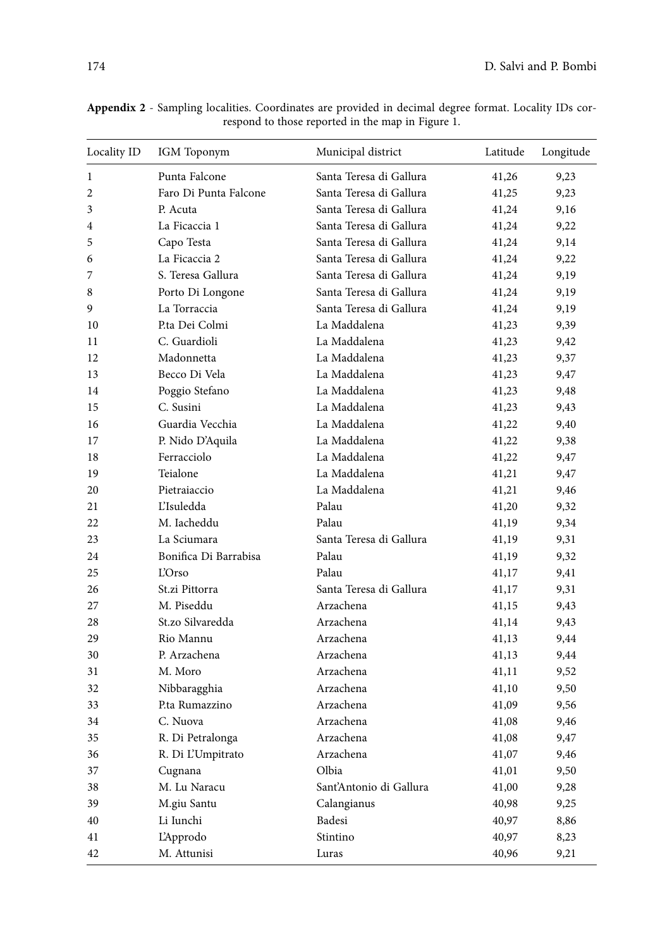| Locality ID | IGM Toponym           | Municipal district      | Latitude | Longitude |
|-------------|-----------------------|-------------------------|----------|-----------|
| 1           | Punta Falcone         | Santa Teresa di Gallura | 41,26    | 9,23      |
| 2           | Faro Di Punta Falcone | Santa Teresa di Gallura | 41,25    | 9,23      |
| 3           | P. Acuta              | Santa Teresa di Gallura | 41,24    | 9,16      |
| 4           | La Ficaccia 1         | Santa Teresa di Gallura | 41,24    | 9,22      |
| 5           | Capo Testa            | Santa Teresa di Gallura | 41,24    | 9,14      |
| 6           | La Ficaccia 2         | Santa Teresa di Gallura | 41,24    | 9,22      |
| 7           | S. Teresa Gallura     | Santa Teresa di Gallura | 41,24    | 9,19      |
| 8           | Porto Di Longone      | Santa Teresa di Gallura | 41,24    | 9,19      |
| 9           | La Torraccia          | Santa Teresa di Gallura | 41,24    | 9,19      |
| 10          | P.ta Dei Colmi        | La Maddalena            | 41,23    | 9,39      |
| 11          | C. Guardioli          | La Maddalena            | 41,23    | 9,42      |
| 12          | Madonnetta            | La Maddalena            | 41,23    | 9,37      |
| 13          | Becco Di Vela         | La Maddalena            | 41,23    | 9,47      |
| 14          | Poggio Stefano        | La Maddalena            | 41,23    | 9,48      |
| 15          | C. Susini             | La Maddalena            | 41,23    | 9,43      |
| 16          | Guardia Vecchia       | La Maddalena            | 41,22    | 9,40      |
| 17          | P. Nido D'Aquila      | La Maddalena            | 41,22    | 9,38      |
| 18          | Ferracciolo           | La Maddalena            | 41,22    | 9,47      |
| 19          | Teialone              | La Maddalena            | 41,21    | 9,47      |
| 20          | Pietraiaccio          | La Maddalena            | 41,21    | 9,46      |
| 21          | L'Isuledda            | Palau                   | 41,20    | 9,32      |
| 22          | M. Iacheddu           | Palau                   | 41,19    | 9,34      |
| 23          | La Sciumara           | Santa Teresa di Gallura | 41,19    | 9,31      |
| 24          | Bonifica Di Barrabisa | Palau                   | 41,19    | 9,32      |
| 25          | <b>L'Orso</b>         | Palau                   | 41,17    | 9,41      |
| 26          | St.zi Pittorra        | Santa Teresa di Gallura | 41,17    | 9,31      |
| 27          | M. Piseddu            | Arzachena               | 41,15    | 9,43      |
| 28          | St.zo Silvaredda      | Arzachena               | 41,14    | 9,43      |
| 29          | Rio Mannu             | Arzachena               | 41,13    | 9,44      |
| 30          | P. Arzachena          | Arzachena               | 41,13    | 9,44      |
| 31          | M. Moro               | Arzachena               | 41,11    | 9,52      |
| 32          | Nibbaragghia          | Arzachena               | 41,10    | 9,50      |
| 33          | P.ta Rumazzino        | Arzachena               | 41,09    | 9,56      |
| 34          | C. Nuova              | Arzachena               | 41,08    | 9,46      |
| 35          | R. Di Petralonga      | Arzachena               | 41,08    | 9,47      |
| 36          | R. Di L'Umpitrato     | Arzachena               | 41,07    | 9,46      |
| 37          | Cugnana               | Olbia                   | 41,01    | 9,50      |
| 38          | M. Lu Naracu          | Sant'Antonio di Gallura | 41,00    | 9,28      |
| 39          | M.giu Santu           | Calangianus             | 40,98    | 9,25      |
| 40          | Li Iunchi             | Badesi                  | 40,97    | 8,86      |
| 41          | L'Approdo             | Stintino                | 40,97    | 8,23      |
| 42          | M. Attunisi           | Luras                   | 40,96    | 9,21      |

**Appendix 2** - Sampling localities. Coordinates are provided in decimal degree format. Locality IDs correspond to those reported in the map in Figure 1.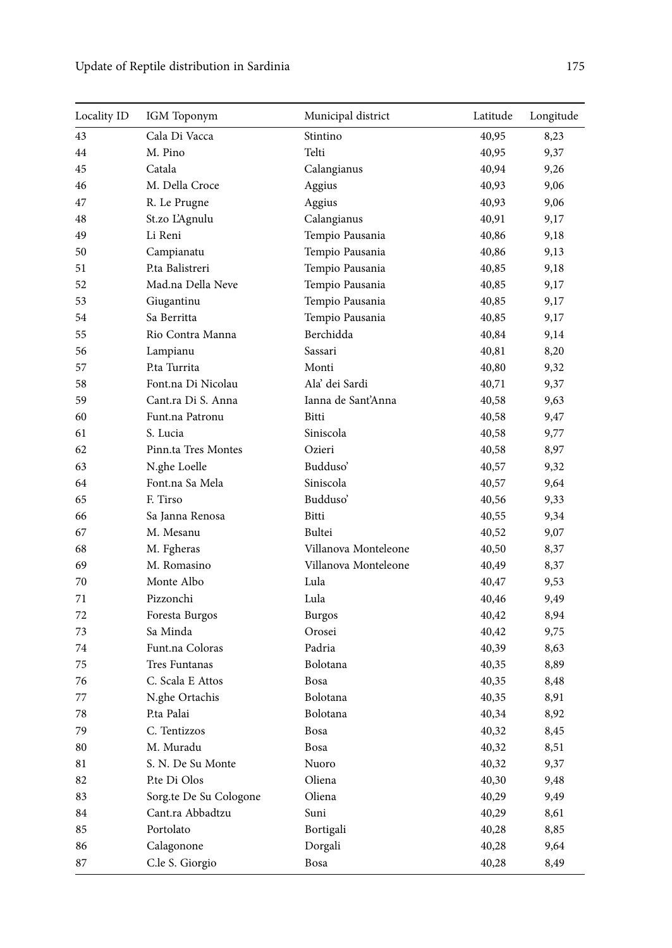| Locality ID | IGM Toponym            | Municipal district   | Latitude | Longitude |
|-------------|------------------------|----------------------|----------|-----------|
| 43          | Cala Di Vacca          | Stintino             | 40,95    | 8,23      |
| 44          | M. Pino                | Telti                | 40,95    | 9,37      |
| 45          | Catala                 | Calangianus          | 40,94    | 9,26      |
| 46          | M. Della Croce         | Aggius               | 40,93    | 9,06      |
| 47          | R. Le Prugne           | Aggius               | 40,93    | 9,06      |
| 48          | St.zo L'Agnulu         | Calangianus          | 40,91    | 9,17      |
| 49          | Li Reni                | Tempio Pausania      | 40,86    | 9,18      |
| 50          | Campianatu             | Tempio Pausania      | 40,86    | 9,13      |
| 51          | P.ta Balistreri        | Tempio Pausania      | 40,85    | 9,18      |
| 52          | Mad.na Della Neve      | Tempio Pausania      | 40,85    | 9,17      |
| 53          | Giugantinu             | Tempio Pausania      | 40,85    | 9,17      |
| 54          | Sa Berritta            | Tempio Pausania      | 40,85    | 9,17      |
| 55          | Rio Contra Manna       | Berchidda            | 40,84    | 9,14      |
| 56          | Lampianu               | Sassari              | 40,81    | 8,20      |
| 57          | P.ta Turrita           | Monti                | 40,80    | 9,32      |
| 58          | Font.na Di Nicolau     | Ala' dei Sardi       | 40,71    | 9,37      |
| 59          | Cant.ra Di S. Anna     | Ianna de Sant'Anna   | 40,58    | 9,63      |
| 60          | Funt.na Patronu        | Bitti                | 40,58    | 9,47      |
| 61          | S. Lucia               | Siniscola            | 40,58    | 9,77      |
| 62          | Pinn.ta Tres Montes    | Ozieri               | 40,58    | 8,97      |
| 63          | N.ghe Loelle           | Budduso'             | 40,57    | 9,32      |
| 64          | Font.na Sa Mela        | Siniscola            | 40,57    | 9,64      |
| 65          | F. Tirso               | Budduso'             | 40,56    | 9,33      |
| 66          | Sa Janna Renosa        | Bitti                | 40,55    | 9,34      |
| 67          | M. Mesanu              | Bultei               | 40,52    | 9,07      |
| 68          | M. Fgheras             | Villanova Monteleone | 40,50    | 8,37      |
| 69          | M. Romasino            | Villanova Monteleone | 40,49    | 8,37      |
| 70          | Monte Albo             | Lula                 | 40,47    | 9,53      |
| 71          | Pizzonchi              | Lula                 | 40,46    | 9,49      |
| 72          | Foresta Burgos         | <b>Burgos</b>        | 40,42    | 8,94      |
| 73          | Sa Minda               | Orosei               | 40,42    | 9,75      |
| 74          | Funt.na Coloras        | Padria               | 40,39    | 8,63      |
| 75          | Tres Funtanas          | Bolotana             | 40,35    | 8,89      |
| 76          | C. Scala E Attos       | Bosa                 | 40,35    | 8,48      |
| 77          | N.ghe Ortachis         | Bolotana             | 40,35    | 8,91      |
| 78          | P.ta Palai             | Bolotana             | 40,34    | 8,92      |
| 79          | C. Tentizzos           | $_{\rm Bosa}$        | 40,32    | 8,45      |
| 80          | M. Muradu              | Bosa                 | 40,32    | 8,51      |
| 81          | S. N. De Su Monte      | Nuoro                | 40,32    | 9,37      |
| 82          | P.te Di Olos           | Oliena               | 40,30    | 9,48      |
| 83          | Sorg.te De Su Cologone | Oliena               | 40,29    | 9,49      |
| 84          | Cant.ra Abbadtzu       | Suni                 | 40,29    | 8,61      |
| 85          | Portolato              | Bortigali            | 40,28    | 8,85      |
| 86          | Calagonone             | Dorgali              | 40,28    | 9,64      |
| 87          | C.le S. Giorgio        | Bosa                 | 40,28    | 8,49      |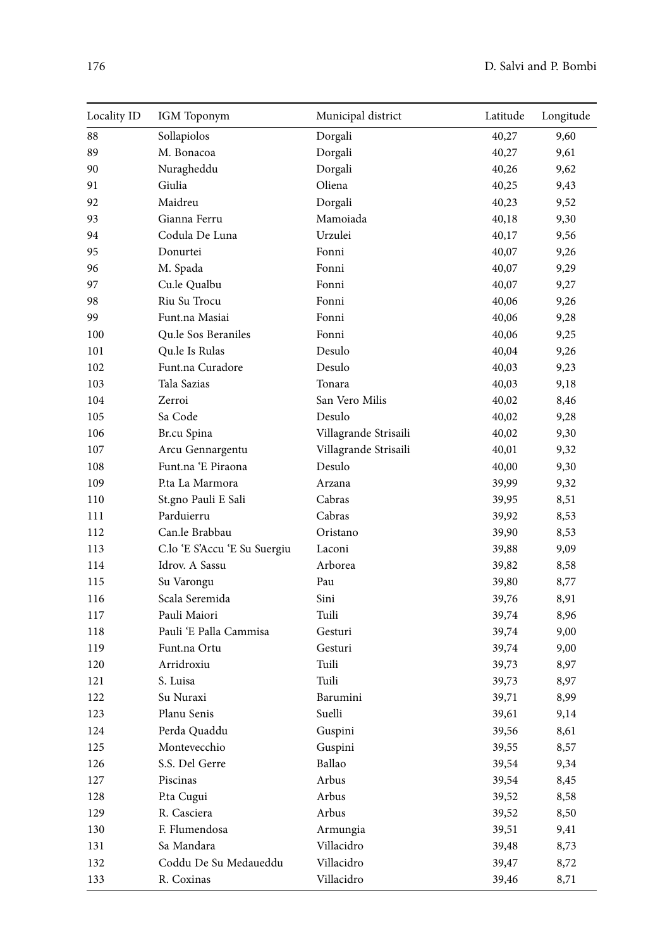| Locality ID | IGM Toponym                  | Municipal district    | Latitude | Longitude |
|-------------|------------------------------|-----------------------|----------|-----------|
| 88          | Sollapiolos                  | Dorgali               | 40,27    | 9,60      |
| 89          | M. Bonacoa                   | Dorgali               | 40,27    | 9,61      |
| 90          | Nuragheddu                   | Dorgali               | 40,26    | 9,62      |
| 91          | Giulia                       | Oliena                | 40,25    | 9,43      |
| 92          | Maidreu                      | Dorgali               | 40,23    | 9,52      |
| 93          | Gianna Ferru                 | Mamoiada              | 40,18    | 9,30      |
| 94          | Codula De Luna               | Urzulei               | 40,17    | 9,56      |
| 95          | Donurtei                     | Fonni                 | 40,07    | 9,26      |
| 96          | M. Spada                     | Fonni                 | 40,07    | 9,29      |
| 97          | Cu.le Qualbu                 | Fonni                 | 40,07    | 9,27      |
| 98          | Riu Su Trocu                 | Fonni                 | 40,06    | 9,26      |
| 99          | Funt.na Masiai               | Fonni                 | 40,06    | 9,28      |
| 100         | Qu.le Sos Beraniles          | Fonni                 | 40,06    | 9,25      |
| 101         | Qu.le Is Rulas               | Desulo                | 40,04    | 9,26      |
| 102         | Funt.na Curadore             | Desulo                | 40,03    | 9,23      |
| 103         | Tala Sazias                  | Tonara                | 40,03    | 9,18      |
| 104         | Zerroi                       | San Vero Milis        | 40,02    | 8,46      |
| 105         | Sa Code                      | Desulo                | 40,02    | 9,28      |
| 106         | Br.cu Spina                  | Villagrande Strisaili | 40,02    | 9,30      |
| 107         | Arcu Gennargentu             | Villagrande Strisaili | 40,01    | 9,32      |
| 108         | Funt.na 'E Piraona           | Desulo                | 40,00    | 9,30      |
| 109         | P.ta La Marmora              | Arzana                | 39,99    | 9,32      |
| 110         | St.gno Pauli E Sali          | Cabras                | 39,95    | 8,51      |
| 111         | Parduierru                   | Cabras                | 39,92    | 8,53      |
| 112         | Can.le Brabbau               | Oristano              | 39,90    | 8,53      |
| 113         | C.lo 'E S'Accu 'E Su Suergiu | Laconi                | 39,88    | 9,09      |
| 114         | Idrov. A Sassu               | Arborea               | 39,82    | 8,58      |
| 115         | Su Varongu                   | Pau                   | 39,80    | 8,77      |
| 116         | Scala Seremida               | Sini                  | 39,76    | 8,91      |
| 117         | Pauli Maiori                 | Tuili                 | 39,74    | 8,96      |
| 118         | Pauli 'E Palla Cammisa       | Gesturi               | 39,74    | 9,00      |
| 119         | Funt.na Ortu                 | Gesturi               | 39,74    | 9,00      |
| 120         | Arridroxiu                   | Tuili                 | 39,73    | 8,97      |
| 121         | S. Luisa                     | Tuili                 | 39,73    | 8,97      |
| 122         | Su Nuraxi                    | Barumini              | 39,71    | 8,99      |
| 123         | Planu Senis                  | Suelli                | 39,61    | 9,14      |
| 124         | Perda Quaddu                 | Guspini               | 39,56    | 8,61      |
| 125         | Montevecchio                 | Guspini               | 39,55    | 8,57      |
| 126         | S.S. Del Gerre               | Ballao                | 39,54    | 9,34      |
| 127         | Piscinas                     | Arbus                 | 39,54    | 8,45      |
| 128         | P.ta Cugui                   | Arbus                 | 39,52    | 8,58      |
| 129         | R. Casciera                  | Arbus                 | 39,52    | 8,50      |
| 130         | F. Flumendosa                | Armungia              | 39,51    | 9,41      |
| 131         | Sa Mandara                   | Villacidro            | 39,48    | 8,73      |
| 132         | Coddu De Su Medaueddu        | Villacidro            | 39,47    | 8,72      |
| 133         | R. Coxinas                   | Villacidro            | 39,46    | 8,71      |